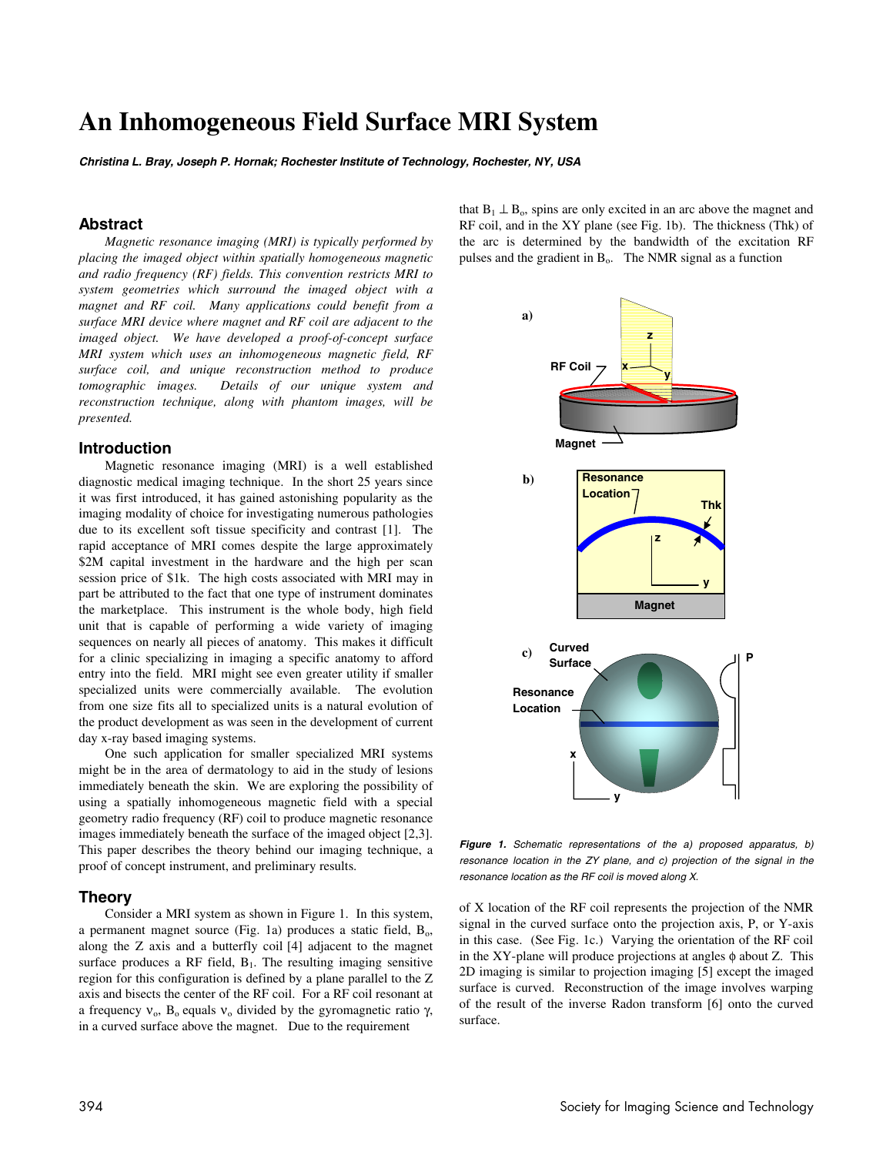# **An Inhomogeneous Field Surface MRI System**

**Christina L. Bray, Joseph P. Hornak; Rochester Institute of Technology, Rochester, NY, USA** 

# **Abstract**

*Magnetic resonance imaging (MRI) is typically performed by placing the imaged object within spatially homogeneous magnetic and radio frequency (RF) fields. This convention restricts MRI to system geometries which surround the imaged object with a magnet and RF coil. Many applications could benefit from a surface MRI device where magnet and RF coil are adjacent to the imaged object. We have developed a proof-of-concept surface MRI system which uses an inhomogeneous magnetic field, RF surface coil, and unique reconstruction method to produce tomographic images. Details of our unique system and reconstruction technique, along with phantom images, will be presented.* 

## **Introduction**

Magnetic resonance imaging (MRI) is a well established diagnostic medical imaging technique. In the short 25 years since it was first introduced, it has gained astonishing popularity as the imaging modality of choice for investigating numerous pathologies due to its excellent soft tissue specificity and contrast [1]. The rapid acceptance of MRI comes despite the large approximately \$2M capital investment in the hardware and the high per scan session price of \$1k. The high costs associated with MRI may in part be attributed to the fact that one type of instrument dominates the marketplace. This instrument is the whole body, high field unit that is capable of performing a wide variety of imaging sequences on nearly all pieces of anatomy. This makes it difficult for a clinic specializing in imaging a specific anatomy to afford entry into the field. MRI might see even greater utility if smaller specialized units were commercially available. The evolution from one size fits all to specialized units is a natural evolution of the product development as was seen in the development of current day x-ray based imaging systems.

One such application for smaller specialized MRI systems might be in the area of dermatology to aid in the study of lesions immediately beneath the skin. We are exploring the possibility of using a spatially inhomogeneous magnetic field with a special geometry radio frequency (RF) coil to produce magnetic resonance images immediately beneath the surface of the imaged object [2,3]. This paper describes the theory behind our imaging technique, a proof of concept instrument, and preliminary results.

## **Theory**

Consider a MRI system as shown in Figure 1. In this system, a permanent magnet source (Fig. 1a) produces a static field,  $B_0$ , along the Z axis and a butterfly coil [4] adjacent to the magnet surface produces a RF field,  $B_1$ . The resulting imaging sensitive region for this configuration is defined by a plane parallel to the Z axis and bisects the center of the RF coil. For a RF coil resonant at a frequency  $v_0$ ,  $B_0$  equals  $v_0$  divided by the gyromagnetic ratio γ, in a curved surface above the magnet. Due to the requirement

that  $B_1 \perp B_0$ , spins are only excited in an arc above the magnet and RF coil, and in the XY plane (see Fig. 1b). The thickness (Thk) of the arc is determined by the bandwidth of the excitation RF pulses and the gradient in  $B_0$ . The NMR signal as a function



**Figure 1.** Schematic representations of the a) proposed apparatus, b) resonance location in the ZY plane, and c) projection of the signal in the resonance location as the RF coil is moved along X.

of X location of the RF coil represents the projection of the NMR signal in the curved surface onto the projection axis, P, or Y-axis in this case. (See Fig. 1c.) Varying the orientation of the RF coil in the XY-plane will produce projections at angles  $\phi$  about Z. This 2D imaging is similar to projection imaging [5] except the imaged surface is curved. Reconstruction of the image involves warping of the result of the inverse Radon transform [6] onto the curved surface.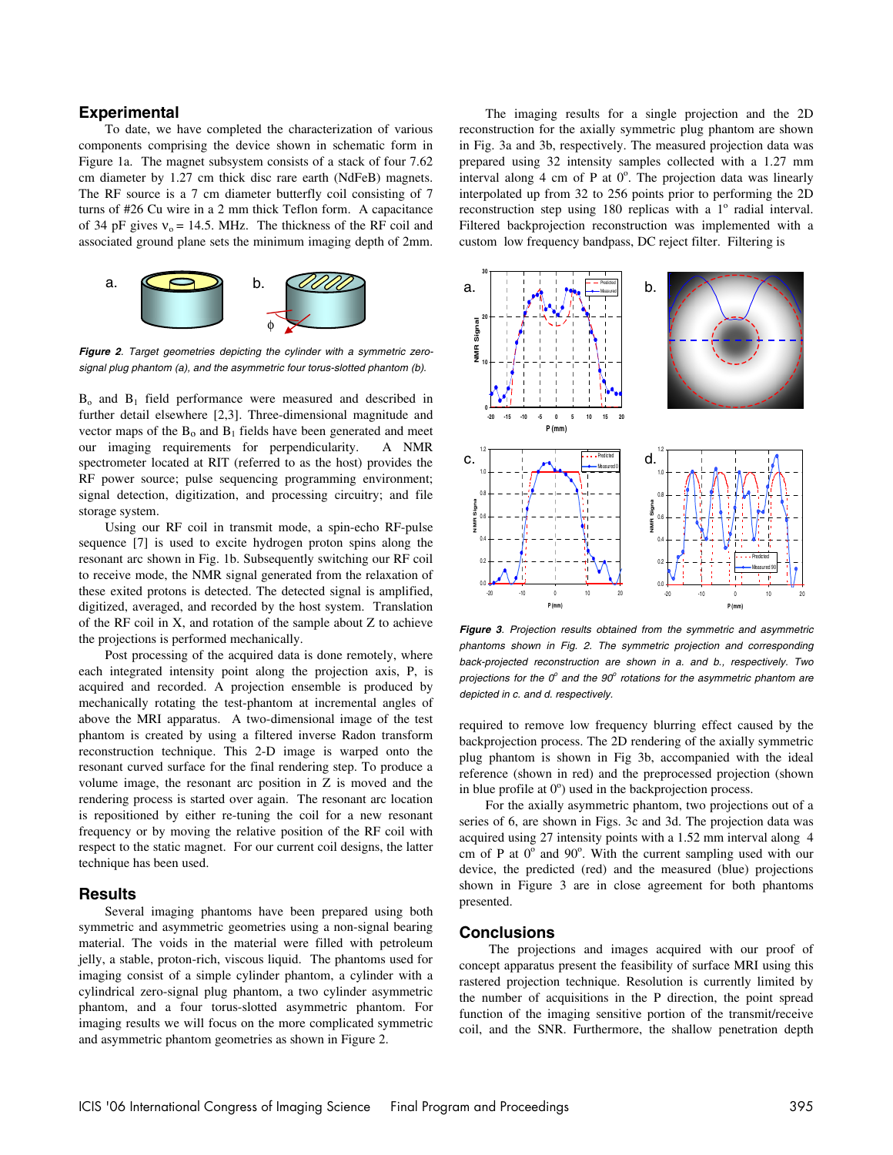# **Experimental**

To date, we have completed the characterization of various components comprising the device shown in schematic form in Figure 1a. The magnet subsystem consists of a stack of four 7.62 cm diameter by 1.27 cm thick disc rare earth (NdFeB) magnets. The RF source is a 7 cm diameter butterfly coil consisting of 7 turns of #26 Cu wire in a 2 mm thick Teflon form. A capacitance of 34 pF gives  $v_0 = 14.5$ . MHz. The thickness of the RF coil and associated ground plane sets the minimum imaging depth of 2mm.



**Figure 2**. Target geometries depicting the cylinder with a symmetric zerosignal plug phantom (a), and the asymmetric four torus-slotted phantom (b).

 $B_0$  and  $B_1$  field performance were measured and described in further detail elsewhere [2,3]. Three-dimensional magnitude and vector maps of the  $B_0$  and  $B_1$  fields have been generated and meet<br>our imaging requirements for perpendicularity. A NMR our imaging requirements for perpendicularity. spectrometer located at RIT (referred to as the host) provides the RF power source; pulse sequencing programming environment; signal detection, digitization, and processing circuitry; and file storage system.

Using our RF coil in transmit mode, a spin-echo RF-pulse sequence [7] is used to excite hydrogen proton spins along the resonant arc shown in Fig. 1b. Subsequently switching our RF coil to receive mode, the NMR signal generated from the relaxation of these exited protons is detected. The detected signal is amplified, digitized, averaged, and recorded by the host system. Translation of the RF coil in X, and rotation of the sample about Z to achieve the projections is performed mechanically.

Post processing of the acquired data is done remotely, where each integrated intensity point along the projection axis, P, is acquired and recorded. A projection ensemble is produced by mechanically rotating the test-phantom at incremental angles of above the MRI apparatus. A two-dimensional image of the test phantom is created by using a filtered inverse Radon transform reconstruction technique. This 2-D image is warped onto the resonant curved surface for the final rendering step. To produce a volume image, the resonant arc position in Z is moved and the rendering process is started over again. The resonant arc location is repositioned by either re-tuning the coil for a new resonant frequency or by moving the relative position of the RF coil with respect to the static magnet. For our current coil designs, the latter technique has been used.

#### **Results**

Several imaging phantoms have been prepared using both symmetric and asymmetric geometries using a non-signal bearing material. The voids in the material were filled with petroleum jelly, a stable, proton-rich, viscous liquid. The phantoms used for imaging consist of a simple cylinder phantom, a cylinder with a cylindrical zero-signal plug phantom, a two cylinder asymmetric phantom, and a four torus-slotted asymmetric phantom. For imaging results we will focus on the more complicated symmetric and asymmetric phantom geometries as shown in Figure 2.

The imaging results for a single projection and the 2D reconstruction for the axially symmetric plug phantom are shown in Fig. 3a and 3b, respectively. The measured projection data was prepared using 32 intensity samples collected with a 1.27 mm interval along  $4 \text{ cm of } P$  at  $0^{\circ}$ . The projection data was linearly interpolated up from 32 to 256 points prior to performing the 2D reconstruction step using 180 replicas with a 1<sup>°</sup> radial interval. Filtered backprojection reconstruction was implemented with a custom low frequency bandpass, DC reject filter. Filtering is



**Figure 3**. Projection results obtained from the symmetric and asymmetric phantoms shown in Fig. 2. The symmetric projection and corresponding back-projected reconstruction are shown in a. and b., respectively. Two projections for the  $0^{\circ}$  and the  $90^{\circ}$  rotations for the asymmetric phantom are depicted in c. and d. respectively.

required to remove low frequency blurring effect caused by the backprojection process. The 2D rendering of the axially symmetric plug phantom is shown in Fig 3b, accompanied with the ideal reference (shown in red) and the preprocessed projection (shown in blue profile at  $0^{\circ}$ ) used in the backprojection process.

For the axially asymmetric phantom, two projections out of a series of 6, are shown in Figs. 3c and 3d. The projection data was acquired using 27 intensity points with a 1.52 mm interval along 4 cm of P at  $0^{\circ}$  and  $90^{\circ}$ . With the current sampling used with our device, the predicted (red) and the measured (blue) projections shown in Figure 3 are in close agreement for both phantoms presented.

#### **Conclusions**

 The projections and images acquired with our proof of concept apparatus present the feasibility of surface MRI using this rastered projection technique. Resolution is currently limited by the number of acquisitions in the P direction, the point spread function of the imaging sensitive portion of the transmit/receive coil, and the SNR. Furthermore, the shallow penetration depth